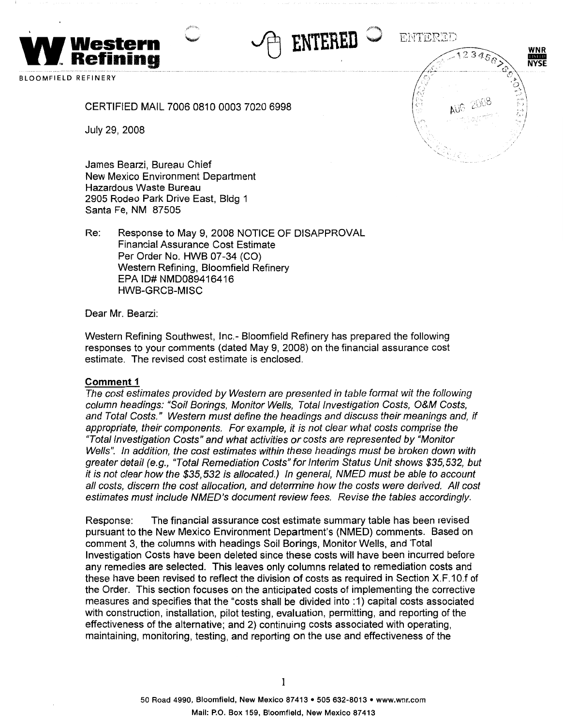

BLOOMFIELD REFINERY

### CERTIFIED MAIL 7006 0810 0003 7020 6998

July 29, 2008

James Bearzi, Bureau Chief New Mexico Environment Department Hazardous Waste Bureau 2905 Rodeo Park Drive East, Bldg 1 Santa Fe, NM 87505

Re: Response to May 9, 2008 NOTICE OF DISAPPROVAL Financial Assurance Cost Estimate Per Order No. HWB 07-34 (CO) Western Refining, Bloomfield Refinery EPA ID# NMD089416416 HWB-GRCB-MISC

Dear Mr. Bearzi:

Western Refining Southwest, Inc.- Bloomfield Refinery has prepared the following responses to your comments (dated May 9, 2008) on the financial assurance cost estimate. The revised cost estimate is enclosed.

~ **ENTERED** 

,, .. ,. ....J

ENTERED

#### **Comment 1**

The cost estimates provided by Western are presented in table format wit the following column headings: "Soil Borings, Monitor Wells, Total Investigation Costs, O&M Costs, and Total Costs." Western must define the headings and discuss their meanings and, if appropriate, their components. For example, it is not clear what costs comprise the "Total Investigation Costs" and what activities or costs are represented by "Monitor Wells". In addition, the cost estimates within these headings must be broken down with greater detail (e.g., "Total Remediation Costs" for Interim Status Unit shows \$35,532, but it is not clear how the \$35,532 is allocated.) In general, NMED must be able to account all costs, discern the cost allocation, and determine how the costs were derived. All cost estimates must include NMED's document review fees. Revise the tables accordingly.

Response: The financial assurance cost estimate summary table has been revised pursuant to the New Mexico Environment Department's (NMED) comments. Based on comment 3, the columns with headings Soil Borings, Monitor Wells, and Total Investigation Costs have been deleted since these costs will have been incurred before any remedies are selected. This leaves only columns related to remediation costs and these have been revised to reflect the division of costs as required in Section X.F.1 O.f of the Order. This section focuses on the anticipated costs of implementing the corrective measures and specifies that the "costs shall be divided into : 1) capital costs associated with construction, installation, pilot testing, evaluation, permitting, and reporting of the effectiveness of the alternative; and 2) continuing costs associated with operating, maintaining, monitoring, testing, and reporting on the use and effectiveness of the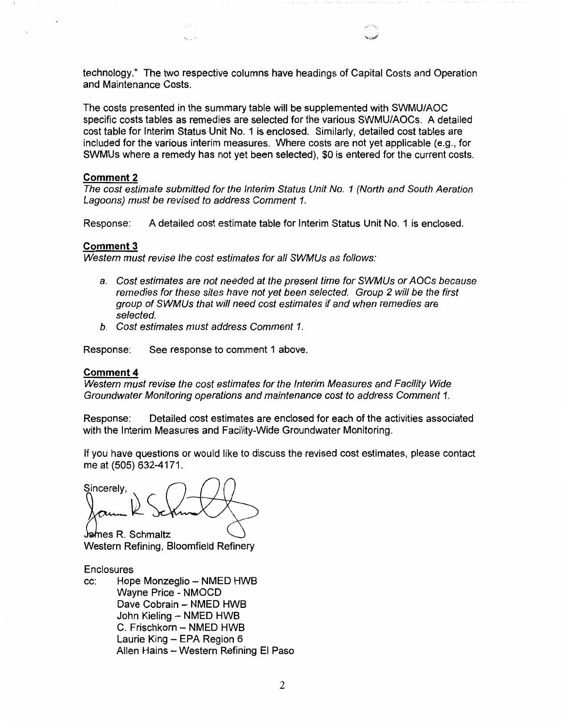technology." The two respective columns have headings of Capital Costs and Operation and Maintenance Costs.

The costs presented in the summary table will be supplemented with SWMU/AOC specific costs tables as remedies are selected for the various SWMU/AOCs. A detailed cost table for Interim Status Unit No. 1 is enclosed. Similarly, detailed cost tables are included for the various interim measures. Where costs are not yet applicable (e.g., for SWMUs where a remedy has not yet been selected), \$0 is entered for the current costs.

### **Comment2**

The cost estimate submitted for the Interim Status Unit No. 1 (North and South Aeration Lagoons) must be revised to address Comment 1.

Response: A detailed cost estimate table for Interim Status Unit No. 1 is enclosed.

#### **Comment3**

Western must revise the cost estimates for all SWMUs as follows:

- a. Cost estimates are not needed at the present time for SWMUs or AOCs because remedies for these sites have not yet been selected. Group 2 will be the first group of SWMUs that will need cost estimates if and when remedies are selected.
- b. Cost estimates must address Comment 1.

Response: See response to comment 1 above.

#### **Comment4**

Western must revise the cost estimates for the Interim Measures and Facility Wide Groundwater Monitoring operations and maintenance cost to address Comment 1.

Response: Detailed cost estimates are enclosed for each of the activities associated with the Interim Measures and Facility-Wide Groundwater Monitoring.

If you have questions or would like to discuss the revised cost estimates, please contact me at (505) 632-4171.

Sincerely,

**James R. Schmaltz** Western Refining, Bloomfield Refinery

#### **Enclosures**

cc: Hope Monzeglio - NMED HWB Wayne Price - NMOCD Dave Cobrain - NMED HWB John Kieling - NMED HWB C. Frischkorn - NMED HWB Laurie King - EPA Region 6 Allen Hains - Western Refining El Paso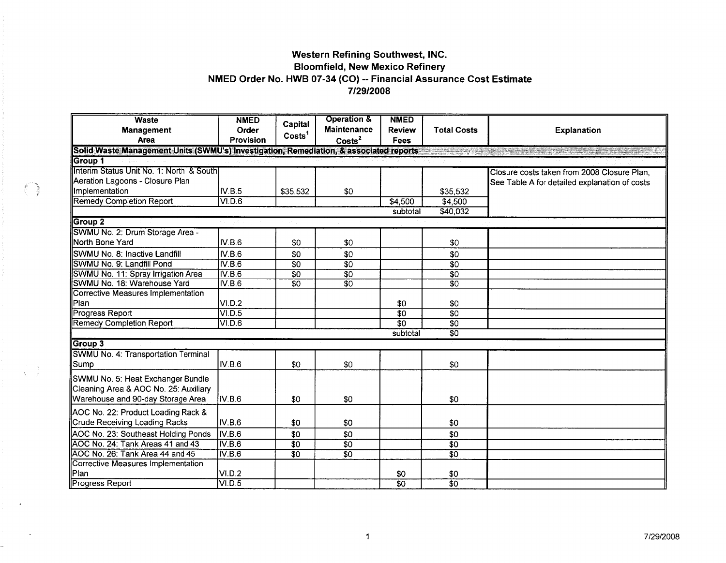# Western Refining Southwest, INC. **Bloomfield, New Mexico Refinery** NMED Order No. HWB 07-34 (CO) -- Financial Assurance Cost Estimate 7/29/2008

| <b>Waste</b>                                                                            | <b>NMED</b>               | Capital            | <b>Operation &amp;</b>                   | <b>NMED</b>                  |                    |                                               |
|-----------------------------------------------------------------------------------------|---------------------------|--------------------|------------------------------------------|------------------------------|--------------------|-----------------------------------------------|
| <b>Management</b><br>Area                                                               | Order<br><b>Provision</b> | Costs <sup>1</sup> | <b>Maintenance</b><br>Costs <sup>2</sup> | <b>Review</b><br><b>Fees</b> | <b>Total Costs</b> | <b>Explanation</b>                            |
| Solid Waste Management Units (SWMU's) Investigation, Remediation, & associated reports- |                           |                    |                                          |                              |                    | a ang pag-pagkalang nagpang pang              |
| Group 1                                                                                 |                           |                    |                                          |                              |                    |                                               |
| Interim Status Unit No. 1: North & Southl                                               |                           |                    |                                          |                              |                    | Closure costs taken from 2008 Closure Plan,   |
| Aeration Lagoons - Closure Plan                                                         |                           |                    |                                          |                              |                    | See Table A for detailed explanation of costs |
| Implementation                                                                          | IV.B.5                    | \$35,532           | \$0                                      |                              | \$35,532           |                                               |
| <b>Remedy Completion Report</b>                                                         | VI.D.6                    |                    |                                          | \$4,500                      | \$4,500            |                                               |
|                                                                                         |                           |                    |                                          | subtotal                     | \$40,032           |                                               |
| Group 2                                                                                 |                           |                    |                                          |                              |                    |                                               |
| SWMU No. 2: Drum Storage Area -                                                         |                           |                    |                                          |                              |                    |                                               |
| <b>INorth Bone Yard</b>                                                                 | IV.B.6                    | \$0                | \$0                                      |                              | \$0                |                                               |
| SWMU No. 8: Inactive Landfill                                                           | IV.B.6                    | \$0                | \$0                                      |                              | \$0                |                                               |
| SWMU No. 9: Landfill Pond                                                               | IV.B.6                    | $\overline{50}$    | $\overline{30}$                          |                              | $\overline{30}$    |                                               |
| SWMU No. 11: Spray Irrigation Area                                                      | IV.B.6                    | $\overline{30}$    | $\overline{30}$                          |                              | $\overline{50}$    |                                               |
| SWMU No. 18: Warehouse Yard                                                             | IV.B.6                    | $\overline{30}$    | $\overline{50}$                          |                              | $\overline{30}$    |                                               |
| Corrective Measures Implementation                                                      |                           |                    |                                          |                              |                    |                                               |
| Plan                                                                                    | VI.D.2                    |                    |                                          | \$0                          | \$0                |                                               |
| <b>Progress Report</b>                                                                  | VID.5                     |                    |                                          | $\overline{30}$              | \$0                |                                               |
| Remedy Completion Report                                                                | VID.6                     |                    |                                          | $\overline{30}$              | $\overline{50}$    |                                               |
|                                                                                         |                           |                    |                                          | subtotal                     | 30                 |                                               |
| Group 3                                                                                 |                           |                    |                                          |                              |                    |                                               |
| SWMU No. 4: Transportation Terminal                                                     |                           |                    |                                          |                              |                    |                                               |
| Sump                                                                                    | IV.B.6                    | \$0                | \$0                                      |                              | \$0                |                                               |
| SWMU No. 5: Heat Exchanger Bundle                                                       |                           |                    |                                          |                              |                    |                                               |
| Cleaning Area & AOC No. 25: Auxiliary                                                   |                           |                    |                                          |                              |                    |                                               |
| Warehouse and 90-day Storage Area                                                       | IV.B.6                    | \$0                | \$0                                      |                              | \$0                |                                               |
| AOC No. 22: Product Loading Rack &                                                      |                           |                    |                                          |                              |                    |                                               |
| Crude Receiving Loading Racks                                                           | IV.B.6                    | \$0                | \$0                                      |                              | \$0                |                                               |
| AOC No. 23: Southeast Holding Ponds                                                     | IV.B.6                    | \$0                | \$0                                      |                              | \$0                |                                               |
| AOC No. 24: Tank Areas 41 and 43                                                        | IV.B.6                    | $\overline{30}$    | $\overline{30}$                          |                              | $\overline{30}$    |                                               |
| AOC No. 26: Tank Area 44 and 45                                                         | IV.B.6                    | $\overline{30}$    | $\overline{30}$                          |                              | $\overline{\$0}$   |                                               |
| Corrective Measures Implementation                                                      |                           |                    |                                          |                              |                    |                                               |
| Plan                                                                                    | VI.D.2                    |                    |                                          | \$0                          | \$0                |                                               |
| <b>Progress Report</b>                                                                  | VI.D.5                    |                    |                                          | $\overline{30}$              | $\overline{50}$    |                                               |

 $\frac{1}{\sqrt{2}}$ 

 $\sim$ 

n.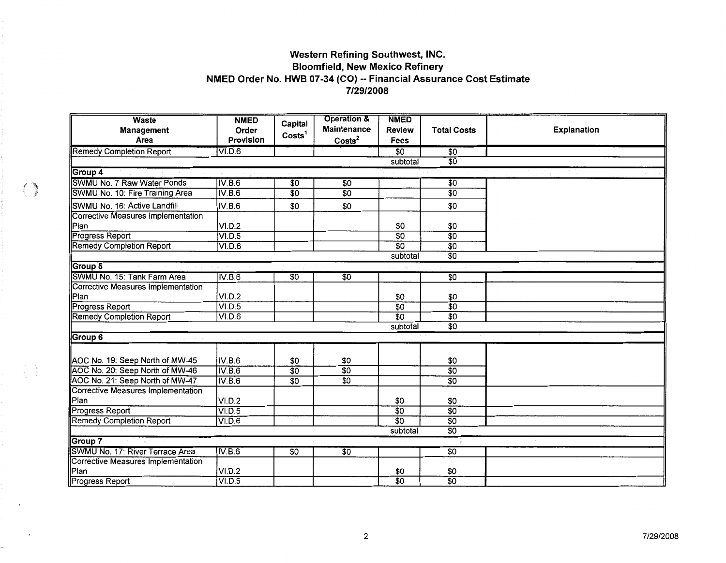# **Western Refining Southwest, INC. Bloomfield, New Mexico Refinery NMED Order No. HWB 07-34 (CO) -- Financial Assurance Cost Estimate 7/29/2008**

| <b>Waste</b><br>Management         | <b>NMED</b><br>Order | Capital            | <b>Operation &amp;</b><br>Maintenance | <b>NMED</b><br><b>Review</b> | <b>Total Costs</b> | Explanation |
|------------------------------------|----------------------|--------------------|---------------------------------------|------------------------------|--------------------|-------------|
| Area                               | Provision            | Costs <sup>1</sup> | Costs <sup>2</sup>                    | Fees                         |                    |             |
| Remedy Completion Report           | VI.D.6               |                    |                                       | $\overline{50}$              | \$0                |             |
|                                    |                      |                    |                                       | subtotal                     | \$0                |             |
| Group 4                            |                      |                    |                                       |                              |                    |             |
| SWMU No. 7 Raw Water Ponds         | IV.B.6               | \$0                | \$0                                   |                              | $\overline{30}$    |             |
| SWMU No. 10: Fire Training Area    | IV.B.6               | $\overline{30}$    | $\overline{50}$                       |                              | $\overline{50}$    |             |
| SWMU No. 16: Active Landfill       | IV.B.6               | \$0                | \$0                                   |                              | \$0                |             |
| Corrective Measures Implementation |                      |                    |                                       |                              |                    |             |
| Plan                               | VI.D.2               |                    |                                       | \$0                          | \$0                |             |
| <b>Progress Report</b>             | VI.D.5               |                    |                                       | $\overline{50}$              | $\overline{30}$    |             |
| <b>Remedy Completion Report</b>    | VID.6                |                    |                                       | $\overline{50}$              | $\overline{50}$    |             |
|                                    |                      |                    |                                       | subtotal                     | $\overline{50}$    |             |
| Group 5                            |                      |                    |                                       |                              |                    |             |
| SWMU No. 15: Tank Farm Area        | IV.B.6               | \$0                | $\overline{50}$                       |                              | 50                 |             |
| Corrective Measures Implementation |                      |                    |                                       |                              |                    |             |
| Plan                               | VI.D.2               |                    |                                       | \$0                          | \$0                |             |
| <b>Progress Report</b>             | VID.5                |                    |                                       | \$0                          | $\overline{30}$    |             |
| <b>Remedy Completion Report</b>    | VI.D.6               |                    |                                       | $\overline{30}$              | $\overline{50}$    |             |
|                                    |                      |                    |                                       | subtotal                     | $\overline{50}$    |             |
| Group 6                            |                      |                    |                                       |                              |                    |             |
|                                    |                      |                    |                                       |                              |                    |             |
| AOC No. 19: Seep North of MW-45    | IV.B.6               | \$0                | \$0                                   |                              | \$0                |             |
| AOC No. 20: Seep North of MW-46    | IV.B.6               | \$0                | $\overline{30}$                       |                              | $\overline{50}$    |             |
| AOC No. 21: Seep North of MW-47    | IV.B.6               | $\overline{50}$    | $\overline{50}$                       |                              | $\overline{50}$    |             |
| Corrective Measures Implementation |                      |                    |                                       |                              |                    |             |
| Plan                               | VI.D.2               |                    |                                       | \$0                          | \$0                |             |
| Progress Report                    | VI.D.5               |                    |                                       | $\overline{50}$              | $\overline{30}$    |             |
| <b>Remedy Completion Report</b>    | VI.D.6               |                    |                                       | $\overline{30}$              | $\overline{50}$    |             |
|                                    |                      |                    |                                       | subtotal                     | $\overline{50}$    |             |
| Group 7                            |                      |                    |                                       |                              |                    |             |
| SWMU No. 17: River Terrace Area    | IV.B.6               | $\overline{50}$    | $\overline{50}$                       |                              | \$0                |             |
| Corrective Measures Implementation |                      |                    |                                       |                              |                    |             |
| Plan                               | VI.D.2               |                    |                                       | \$0                          | \$0                |             |
| Progress Report                    | VI.D.5               |                    |                                       | $\overline{50}$              | $\overline{50}$    |             |

 $\begin{array}{c} \begin{array}{c} \begin{array}{c} \begin{array}{c} \end{array} \\ \end{array} \end{array} \end{array}$ 

 $\begin{array}{c} \mathbb{E} \left( \begin{array}{cc} \mathbb{E} \mathbb{E} \left( \mathbb{E} \right) \\ \mathbb{E} \mathbb{E} \left( \mathbb{E} \right) \mathbb{E} \left( \mathbb{E} \right) \end{array} \right) \end{array} \end{array}$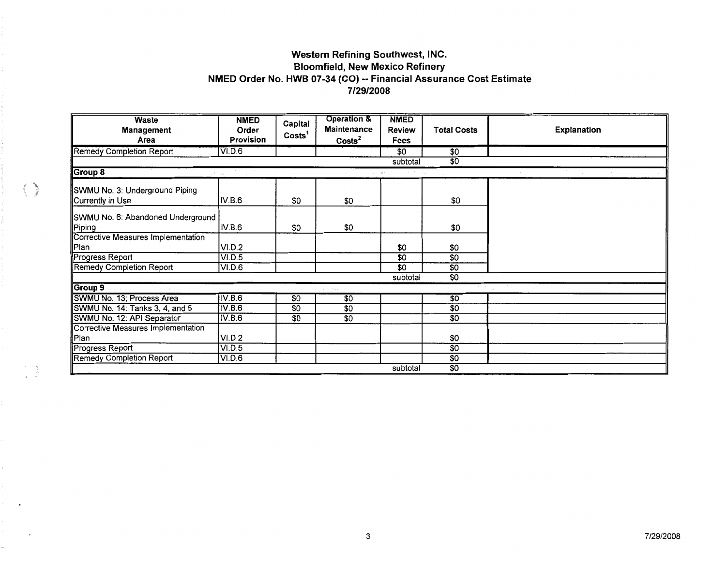# Western Refining Southwest, INC. Bloomfield, New Mexico Refinery NMED Order No. HWB 07-34 {CO) -- Financial Assurance Cost Estimate **7/29/2008**

| <b>Waste</b><br><b>Management</b><br>Area | <b>NMED</b><br>Order<br><b>Provision</b> | Capital<br>Costs <sup>1</sup> | <b>Operation &amp;</b><br><b>Maintenance</b><br>$\text{Costs}^2$ | <b>NMED</b><br><b>Review</b><br><b>Fees</b> | <b>Total Costs</b> | <b>Explanation</b> |
|-------------------------------------------|------------------------------------------|-------------------------------|------------------------------------------------------------------|---------------------------------------------|--------------------|--------------------|
| <b>Remedy Completion Report</b>           | VI.D.6                                   |                               |                                                                  | \$0                                         | $\overline{30}$    |                    |
|                                           |                                          |                               |                                                                  | subtotal                                    | $\overline{50}$    |                    |
| Group 8                                   |                                          |                               |                                                                  |                                             |                    |                    |
| SWMU No. 3: Underground Piping            |                                          |                               |                                                                  |                                             |                    |                    |
| Currently in Use                          | IV.B.6                                   | \$0                           | \$0                                                              |                                             | \$0                |                    |
| SWMU No. 6: Abandoned Underground         |                                          |                               |                                                                  |                                             |                    |                    |
| Piping                                    | IV.B.6                                   | \$0                           | \$0                                                              |                                             | \$0                |                    |
| <b>Corrective Measures Implementation</b> |                                          |                               |                                                                  |                                             |                    |                    |
| Plan                                      | VI.D.2                                   |                               |                                                                  | \$0                                         | \$0                |                    |
| Progress Report                           | VI.D.5                                   |                               |                                                                  | $\overline{50}$                             | \$0                |                    |
| <b>Remedy Completion Report</b>           | VLD.6                                    |                               |                                                                  | $\overline{50}$                             | $\overline{50}$    |                    |
|                                           |                                          |                               |                                                                  | subtotal                                    | $\overline{50}$    |                    |
| Group 9                                   |                                          |                               |                                                                  |                                             |                    |                    |
| SWMU No. 13; Process Area                 | IV.B.6                                   | \$0                           | $\overline{50}$                                                  |                                             | \$0                |                    |
| SWMU No. 14: Tanks 3, 4, and 5            | IV.B.6                                   | \$0                           | \$0                                                              |                                             | $\overline{$}0$    |                    |
| SWMU No. 12: API Separator                | IV.B.6                                   | \$0                           | \$0                                                              |                                             | \$0                |                    |
| <b>Corrective Measures Implementation</b> |                                          |                               |                                                                  |                                             |                    |                    |
| Plan                                      | VI.D.2                                   |                               |                                                                  |                                             | \$0                |                    |
| Progress Report                           | VI.D.5                                   |                               |                                                                  |                                             | $\overline{50}$    |                    |
| <b>Remedy Completion Report</b>           | VLD.6                                    |                               |                                                                  |                                             | $\overline{50}$    |                    |
|                                           |                                          |                               |                                                                  | subtotal                                    | \$0                |                    |

 $\begin{aligned} \frac{d^2}{dt^2} & = \frac{1}{2} \frac{d^2}{dt^2} \end{aligned}$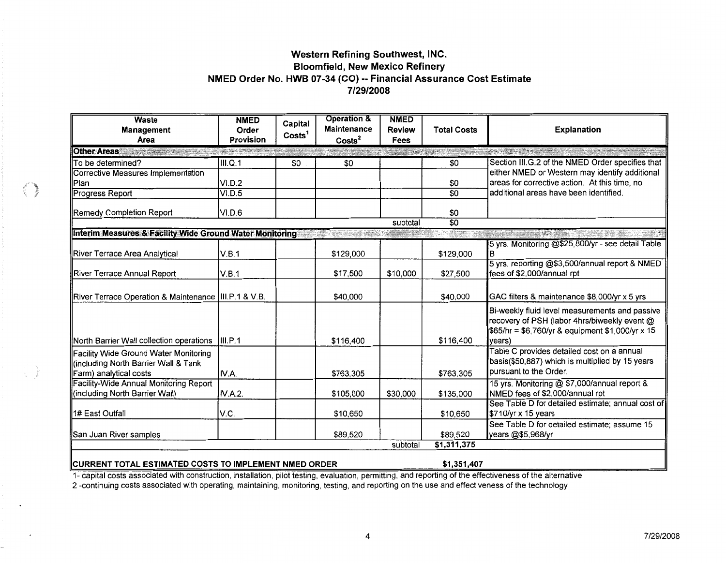# Western Refining Southwest, INC. **Bloomfield, New Mexico Refinery** NMED Order No. HWB 07-34 (CO) -- Financial Assurance Cost Estimate 7/29/2008

| <b>Waste</b><br>Management<br>Area                                                                      | <b>NMED</b><br>Order<br><b>Provision</b>                                                                                                                                                                                                                                          | Capital<br>Costs <sup>1</sup> | <b>Operation &amp;</b><br><b>Maintenance</b><br>$\text{Costs}^2$ | <b>NMED</b><br><b>Review</b><br><b>Fees</b> | <b>Total Costs</b>                      | <b>Explanation</b>                                                                                                                                           |
|---------------------------------------------------------------------------------------------------------|-----------------------------------------------------------------------------------------------------------------------------------------------------------------------------------------------------------------------------------------------------------------------------------|-------------------------------|------------------------------------------------------------------|---------------------------------------------|-----------------------------------------|--------------------------------------------------------------------------------------------------------------------------------------------------------------|
| <b>Other Areas</b><br>STATISTICS.                                                                       | $\label{eq:1} \mathcal{L}_{\mathcal{A}}(\mathcal{A}) \leq \mathcal{L}_{\mathcal{A}}(\mathcal{A}) \leq \mathcal{L}_{\mathcal{A}}(\mathcal{A}) \leq \mathcal{L}_{\mathcal{A}}(\mathcal{A}) \leq \mathcal{L}_{\mathcal{A}}(\mathcal{A}) \leq \mathcal{L}_{\mathcal{A}}(\mathcal{A})$ |                               | <b>TANK AND MANY</b>                                             |                                             | <b>A STATISTICS OF A LITTLE CONTROL</b> | <b>The Committee of the Committee of the Committee of the Committee of the Committee of the Committee of the Committee</b>                                   |
| To be determined?                                                                                       | III.Q.1                                                                                                                                                                                                                                                                           | \$0                           | \$0                                                              |                                             | \$0                                     | Section III.G.2 of the NMED Order specifies that                                                                                                             |
| Corrective Measures Implementation                                                                      |                                                                                                                                                                                                                                                                                   |                               |                                                                  |                                             |                                         | either NMED or Western may identify additional                                                                                                               |
| lPlan                                                                                                   | VI.D.2                                                                                                                                                                                                                                                                            |                               |                                                                  |                                             | \$0                                     | areas for corrective action. At this time, no<br>additional areas have been identified.                                                                      |
| Progress Report                                                                                         | VI.D.5                                                                                                                                                                                                                                                                            |                               |                                                                  |                                             | $\overline{50}$                         |                                                                                                                                                              |
| <b>Remedy Completion Report</b>                                                                         | VI.D.6                                                                                                                                                                                                                                                                            |                               |                                                                  |                                             | \$0                                     |                                                                                                                                                              |
|                                                                                                         |                                                                                                                                                                                                                                                                                   |                               |                                                                  | subtotal                                    | $\overline{30}$                         |                                                                                                                                                              |
| Interim Measures & Facility Wide Ground Water Monitoring                                                |                                                                                                                                                                                                                                                                                   |                               |                                                                  |                                             |                                         |                                                                                                                                                              |
| River Terrace Area Analytical                                                                           | V.B.1                                                                                                                                                                                                                                                                             |                               | \$129,000                                                        |                                             | \$129,000                               | 5 yrs. Monitoring @\$25,800/yr - see detail Table<br>в                                                                                                       |
| River Terrace Annual Report                                                                             | V.B.1                                                                                                                                                                                                                                                                             |                               | \$17,500                                                         | \$10,000                                    | \$27,500                                | 5 yrs. reporting @\$3,500/annual report & NMED<br>fees of \$2,000/annual rpt                                                                                 |
| River Terrace Operation & Maintenance   III.P.1 & V.B.                                                  |                                                                                                                                                                                                                                                                                   |                               | \$40,000                                                         |                                             | \$40,000                                | GAC filters & maintenance \$8,000/yr x 5 yrs                                                                                                                 |
| North Barrier Wall collection operations                                                                | III.P.1                                                                                                                                                                                                                                                                           |                               | \$116,400                                                        |                                             | \$116,400                               | Bi-weekly fluid level measurements and passive<br>recovery of PSH (labor 4hrs/biweekly event @<br>\$65/hr = \$6,760/yr & equipment \$1,000/yr x 15<br>years) |
| Facility Wide Ground Water Monitoring<br>(including North Barrier Wall & Tank<br>Farm) analytical costs | IV.A.                                                                                                                                                                                                                                                                             |                               | \$763,305                                                        |                                             | \$763,305                               | Table C provides detailed cost on a annual<br>basis(\$50,887) which is multiplied by 15 years<br>pursuant to the Order.                                      |
| Facility-Wide Annual Monitoring Report<br>(including North Barrier Wall)                                | IV.A.2.                                                                                                                                                                                                                                                                           |                               | \$105,000                                                        | \$30,000                                    | \$135,000                               | 15 yrs. Monitoring @ \$7,000/annual report &<br>NMED fees of \$2,000/annual rpt                                                                              |
| 1# East Outfall                                                                                         | V.C.                                                                                                                                                                                                                                                                              |                               | \$10,650                                                         |                                             | \$10,650                                | See Table D for detailed estimate; annual cost of<br>\$710/yr x 15 years                                                                                     |
| San Juan River samples                                                                                  |                                                                                                                                                                                                                                                                                   |                               | \$89,520                                                         |                                             | \$89.520                                | See Table D for detailed estimate; assume 15<br>years @\$5,968/yr                                                                                            |
|                                                                                                         |                                                                                                                                                                                                                                                                                   |                               |                                                                  | subtotal                                    | \$1,311,375                             |                                                                                                                                                              |
| <b>IICURRENT TOTAL ESTIMATED COSTS TO IMPLEMENT NMED ORDER</b>                                          |                                                                                                                                                                                                                                                                                   |                               |                                                                  |                                             | \$1,351,407                             |                                                                                                                                                              |

1- capital costs associated with construction, installation, pilot testing, evaluation, permitting, and reporting of the effectiveness of the alternative

2-continuing costs associated with operating, maintaining, monitoring, testing, and reporting on the use and effectiveness of the technology

O)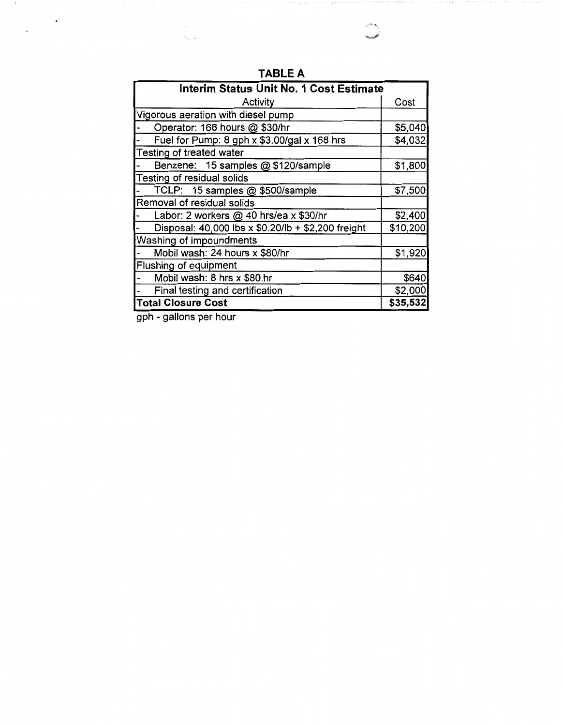| Interim Status Unit No. 1 Cost Estimate            |          |
|----------------------------------------------------|----------|
| Activity                                           | Cost     |
| Vigorous aeration with diesel pump                 |          |
| Operator: 168 hours @ \$30/hr                      | \$5,040  |
| Fuel for Pump: 8 gph x \$3.00/gal x 168 hrs        | \$4,032  |
| Testing of treated water                           |          |
| Benzene: 15 samples @ \$120/sample                 | \$1,800  |
| Testing of residual solids                         |          |
| TCLP: 15 samples @ \$500/sample                    | \$7,500  |
| Removal of residual solids                         |          |
| Labor: 2 workers @ 40 hrs/ea x \$30/hr             | \$2,400  |
| Disposal: 40,000 lbs x \$0.20/lb + \$2,200 freight | \$10,200 |
| Washing of impoundments                            |          |
| Mobil wash: 24 hours x \$80/hr                     | \$1,920  |
| Flushing of equipment                              |          |
| Mobil wash: 8 hrs x \$80.hr                        | \$640    |
| Final testing and certification                    | \$2,000  |
| <b>Total Closure Cost</b>                          | \$35,532 |

**TABLE A** 

gph - gallons per hour

hi<sub>n an</sub>

 $\sim$  1.

 $\blacksquare$ 

 $\sim$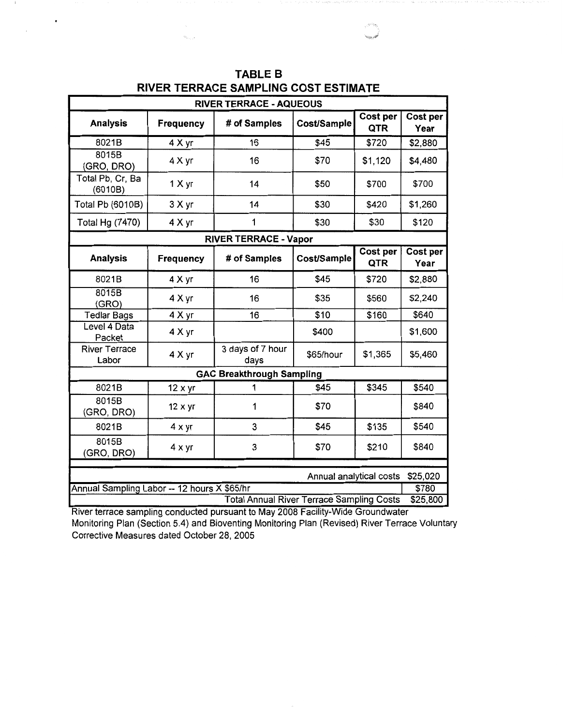|                                             | <b>RIVER TERRACE - AQUEOUS</b> |                                                  |                         |                        |                   |  |  |  |  |
|---------------------------------------------|--------------------------------|--------------------------------------------------|-------------------------|------------------------|-------------------|--|--|--|--|
| <b>Analysis</b>                             | Frequency                      | # of Samples                                     | Cost/Sample             | <b>Cost per</b><br>QTR | Cost per<br>Year  |  |  |  |  |
| 8021B                                       | 4 X yr                         | 16                                               | \$45                    | \$720                  | \$2,880           |  |  |  |  |
| 8015B<br>(GRO, DRO)                         | 4 X yr                         | 16                                               | \$70                    | \$1,120                | \$4,480           |  |  |  |  |
| Total Pb, Cr, Ba<br>(6010B)                 | 1 X yr                         | 14                                               | \$50                    | \$700                  | \$700             |  |  |  |  |
| Total Pb (6010B)                            | 3 X yr                         | 14                                               | \$30                    | \$420                  | \$1,260           |  |  |  |  |
| Total Hg (7470)                             | 4 X yr                         | 1                                                | \$30                    | \$30                   | \$120             |  |  |  |  |
|                                             |                                | <b>RIVER TERRACE - Vapor</b>                     |                         |                        |                   |  |  |  |  |
| <b>Analysis</b>                             | <b>Frequency</b>               | # of Samples                                     | Cost/Sample             | Cost per<br>QTR        | Cost per<br>Year  |  |  |  |  |
| 8021B                                       | 4 X yr                         | 16                                               | \$45                    | \$720                  | \$2,880           |  |  |  |  |
| 8015B<br>(GRO)                              | 4 X yr                         | 16                                               | \$35                    | \$560                  | \$2,240           |  |  |  |  |
| <b>Tedlar Bags</b>                          | 4 X yr                         | 16                                               | \$10                    | \$160                  | \$640             |  |  |  |  |
| Level 4 Data<br>Packet                      | 4 X yr                         |                                                  | \$400                   |                        | \$1,600           |  |  |  |  |
| <b>River Terrace</b><br>Labor               | 4 X yr                         | 3 days of 7 hour<br>days                         | \$65/hour               | \$1,365                | \$5,460           |  |  |  |  |
|                                             |                                | <b>GAC Breakthrough Sampling</b>                 |                         |                        |                   |  |  |  |  |
| 8021B                                       | $12 \times yr$                 | 1                                                | \$45                    | \$345                  | \$540             |  |  |  |  |
| 8015B<br>(GRO, DRO)                         | 12 x yr                        | 1                                                | \$70                    |                        | \$840             |  |  |  |  |
| 8021B                                       | $4 \times yr$                  | 3                                                | \$45                    | \$135                  | \$540             |  |  |  |  |
| 8015B<br>(GRO, DRO)                         | $4 \times yr$                  | 3                                                | \$70                    | \$210                  | \$840             |  |  |  |  |
|                                             |                                |                                                  |                         |                        |                   |  |  |  |  |
| Annual Sampling Labor -- 12 hours X \$65/hr |                                |                                                  | Annual analytical costs |                        | \$25,020<br>\$780 |  |  |  |  |
|                                             |                                | <b>Total Annual River Terrace Sampling Costs</b> |                         |                        | \$25,800          |  |  |  |  |

**TABLE B RIVER TERRACE SAMPLING COST ESTIMATE** 

 $\bullet$ 

River terrace sampling conducted pursuant to May 2008 Facility-Wide Groundwater Monitoring Plan (Section 5.4) and Bioventing Monitoring Plan (Revised) River Terrace Voluntary Corrective Measures dated October 28, 2005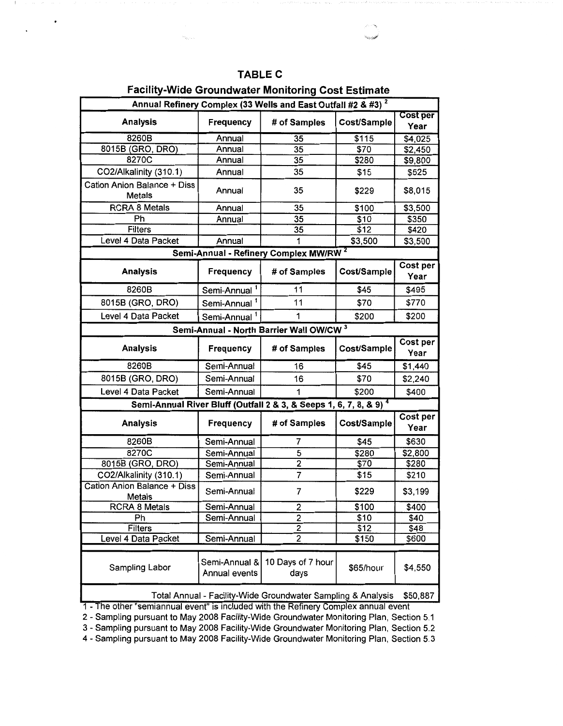|  |  | `ABL |  |  |
|--|--|------|--|--|
|--|--|------|--|--|

# Facility-Wide Groundwater Monitoring Cost Estimate

| Annual Refinery Complex (33 Wells and East Outfall #2 & #3) <sup>2</sup> |                                |                                                                  |               |                    |  |  |  |
|--------------------------------------------------------------------------|--------------------------------|------------------------------------------------------------------|---------------|--------------------|--|--|--|
| <b>Analysis</b>                                                          | Frequency                      | # of Samples                                                     | Cost/Sample   | Cost per           |  |  |  |
| 8260B                                                                    |                                |                                                                  |               | Year               |  |  |  |
| 8015B (GRO, DRO)                                                         | Annual<br>Annual               | 35<br>35                                                         | \$115<br>\$70 | \$4,025            |  |  |  |
| 8270C                                                                    | Annual                         | 35                                                               | \$280         | \$2,450<br>\$9,800 |  |  |  |
| CO2/Alkalinity (310.1)                                                   | Annual                         | 35                                                               | \$15          | \$525              |  |  |  |
|                                                                          |                                |                                                                  |               |                    |  |  |  |
| Cation Anion Balance + Diss<br>Metals                                    | Annual                         | 35                                                               | \$229         | \$8,015            |  |  |  |
| <b>RCRA 8 Metals</b>                                                     | Annual                         | 35                                                               | \$100         | \$3,500            |  |  |  |
| Ph                                                                       | Annual                         | 35                                                               | \$10          | \$350              |  |  |  |
| <b>Filters</b>                                                           |                                | 35                                                               | \$12          | \$420              |  |  |  |
| Level 4 Data Packet                                                      | Annual                         |                                                                  | \$3,500       | \$3,500            |  |  |  |
|                                                                          |                                | Semi-Annual - Refinery Complex MW/RW <sup>2</sup>                |               |                    |  |  |  |
| <b>Analysis</b>                                                          | <b>Frequency</b>               | # of Samples                                                     | Cost/Sample   | Cost per<br>Year   |  |  |  |
| 8260B                                                                    | Semi-Annual                    | 11                                                               | \$45          | \$495              |  |  |  |
| 8015B (GRO, DRO)                                                         | Semi-Annual <sup>1</sup>       | 11                                                               | \$70          | \$770              |  |  |  |
| Level 4 Data Packet                                                      | Semi-Annual <sup>1</sup>       | 1                                                                | \$200         | \$200              |  |  |  |
|                                                                          |                                | Semi-Annual - North Barrier Wall OW/CW <sup>3</sup>              |               |                    |  |  |  |
| <b>Analysis</b>                                                          | <b>Frequency</b>               | # of Samples                                                     | Cost/Sample   | Cost per<br>Year   |  |  |  |
| 8260B                                                                    | Semi-Annual                    | 16                                                               | \$45          | \$1,440            |  |  |  |
| 8015B (GRO, DRO)                                                         | Semi-Annual                    | 16                                                               | \$70          | \$2,240            |  |  |  |
| Level 4 Data Packet                                                      | Semi-Annual                    | 1                                                                | \$200         | \$400              |  |  |  |
|                                                                          |                                | Semi-Annual River Bluff (Outfall 2 & 3, & Seeps 1, 6, 7, 8, & 9) |               |                    |  |  |  |
| <b>Analysis</b>                                                          | <b>Frequency</b>               | # of Samples                                                     | Cost/Sample   | Cost per<br>Year   |  |  |  |
| 8260B                                                                    | Semi-Annual                    | 7                                                                | \$45          | \$630              |  |  |  |
| 8270C                                                                    | Semi-Annual                    | 5                                                                | \$280         | \$2,800            |  |  |  |
| 8015B (GRO, DRO)                                                         | Semi-Annual                    | $\overline{2}$                                                   | \$70          | \$280              |  |  |  |
| CO2/Alkalinity (310.1)                                                   | Semi-Annual                    | $\overline{7}$                                                   | \$15          | \$210              |  |  |  |
| <b>Cation Anion Balance + Diss</b><br>Metals                             | Semi-Annual                    | 7                                                                | \$229         | \$3,199            |  |  |  |
| <b>RCRA 8 Metals</b>                                                     | Semi-Annual                    | $\overline{2}$                                                   | <u>\$100</u>  | \$400              |  |  |  |
| Ph                                                                       | Semi-Annual                    | 2                                                                | \$10          | \$40               |  |  |  |
| Filters                                                                  |                                | $\overline{2}$                                                   | \$12          | \$48               |  |  |  |
| Level 4 Data Packet                                                      | Semi-Annual                    | $\overline{2}$                                                   | \$150         | \$600              |  |  |  |
|                                                                          |                                |                                                                  |               |                    |  |  |  |
| Sampling Labor                                                           | Semi-Annual &<br>Annual events | 10 Days of 7 hour<br>days                                        | \$65/hour     | \$4,550            |  |  |  |
|                                                                          |                                | Total Annual - Facility-Wide Groundwater Sampling & Analysis     |               | \$50,887           |  |  |  |

1 - The other "semiannual event" Is included with the Refinery Complex annual event

2 - Sampling pursuant to May 2008 Facility-Wide Groundwater Monitoring Plan, Section 5.1

3 - Sampling pursuant to May 2008 Facility-Wide Groundwater Monitoring Plan, Section 5.2

4 - Sampling pursuant to May 2008 Facility-Wide Groundwater Monitoring Plan, Section 5.3